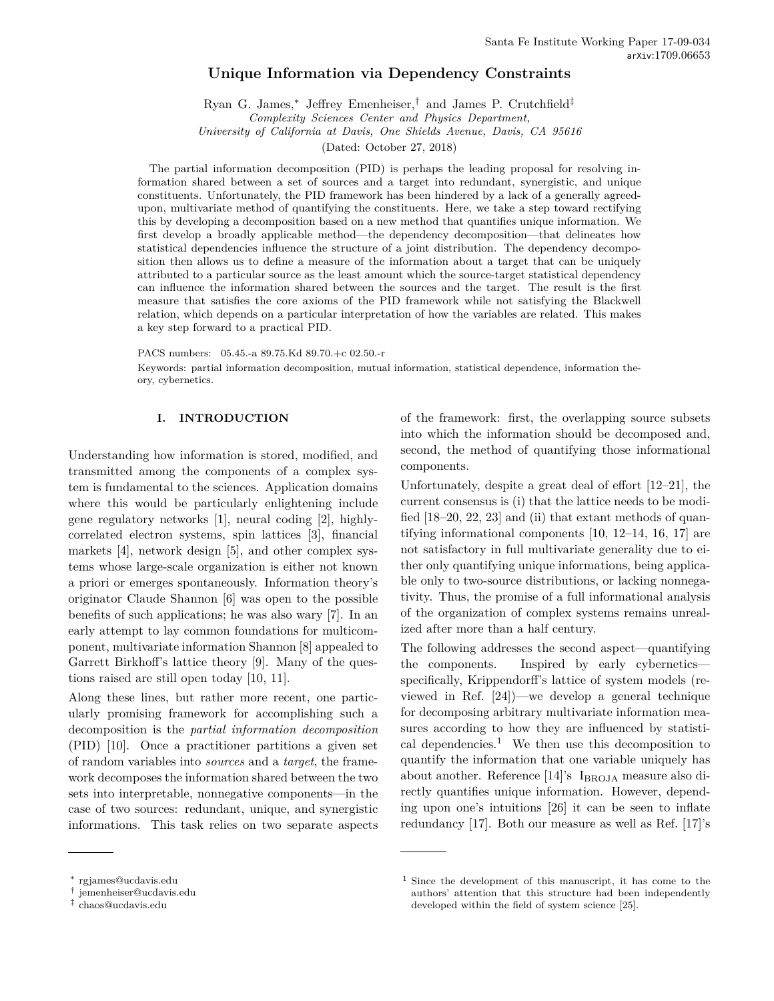# **Unique Information via Dependency Constraints**

Ryan G. James,<sup>∗</sup> Jeffrey Emenheiser,† and James P. Crutchfield‡ *Complexity Sciences Center and Physics Department,*

*University of California at Davis, One Shields Avenue, Davis, CA 95616*

(Dated: October 27, 2018)

The partial information decomposition (PID) is perhaps the leading proposal for resolving information shared between a set of sources and a target into redundant, synergistic, and unique constituents. Unfortunately, the PID framework has been hindered by a lack of a generally agreedupon, multivariate method of quantifying the constituents. Here, we take a step toward rectifying this by developing a decomposition based on a new method that quantifies unique information. We first develop a broadly applicable method—the dependency decomposition—that delineates how statistical dependencies influence the structure of a joint distribution. The dependency decomposition then allows us to define a measure of the information about a target that can be uniquely attributed to a particular source as the least amount which the source-target statistical dependency can influence the information shared between the sources and the target. The result is the first measure that satisfies the core axioms of the PID framework while not satisfying the Blackwell relation, which depends on a particular interpretation of how the variables are related. This makes a key step forward to a practical PID.

PACS numbers: 05.45.-a 89.75.Kd 89.70.+c 02.50.-r

Keywords: partial information decomposition, mutual information, statistical dependence, information theory, cybernetics.

## **I. INTRODUCTION**

Understanding how information is stored, modified, and transmitted among the components of a complex system is fundamental to the sciences. Application domains where this would be particularly enlightening include gene regulatory networks [1], neural coding [2], highlycorrelated electron systems, spin lattices [3], financial markets [4], network design [5], and other complex systems whose large-scale organization is either not known a priori or emerges spontaneously. Information theory's originator Claude Shannon [6] was open to the possible benefits of such applications; he was also wary [7]. In an early attempt to lay common foundations for multicomponent, multivariate information Shannon [8] appealed to Garrett Birkhoff's lattice theory [9]. Many of the questions raised are still open today [10, 11].

Along these lines, but rather more recent, one particularly promising framework for accomplishing such a decomposition is the *partial information decomposition* (PID) [10]. Once a practitioner partitions a given set of random variables into *sources* and a *target*, the framework decomposes the information shared between the two sets into interpretable, nonnegative components—in the case of two sources: redundant, unique, and synergistic informations. This task relies on two separate aspects of the framework: first, the overlapping source subsets into which the information should be decomposed and, second, the method of quantifying those informational components.

Unfortunately, despite a great deal of effort [12–21], the current consensus is (i) that the lattice needs to be modified [18–20, 22, 23] and (ii) that extant methods of quantifying informational components [10, 12–14, 16, 17] are not satisfactory in full multivariate generality due to either only quantifying unique informations, being applicable only to two-source distributions, or lacking nonnegativity. Thus, the promise of a full informational analysis of the organization of complex systems remains unrealized after more than a half century.

The following addresses the second aspect—quantifying the components. Inspired by early cybernetics specifically, Krippendorff's lattice of system models (reviewed in Ref. [24])—we develop a general technique for decomposing arbitrary multivariate information measures according to how they are influenced by statistical dependencies.<sup>1</sup> We then use this decomposition to quantify the information that one variable uniquely has about another. Reference [14]'s  $I_{BROJA}$  measure also directly quantifies unique information. However, depending upon one's intuitions [26] it can be seen to inflate redundancy [17]. Both our measure as well as Ref. [17]'s

<sup>∗</sup> rgjames@ucdavis.edu

<sup>†</sup> jemenheiser@ucdavis.edu

<sup>‡</sup> chaos@ucdavis.edu

<sup>1</sup> Since the development of this manuscript, it has come to the authors' attention that this structure had been independently developed within the field of system science [25].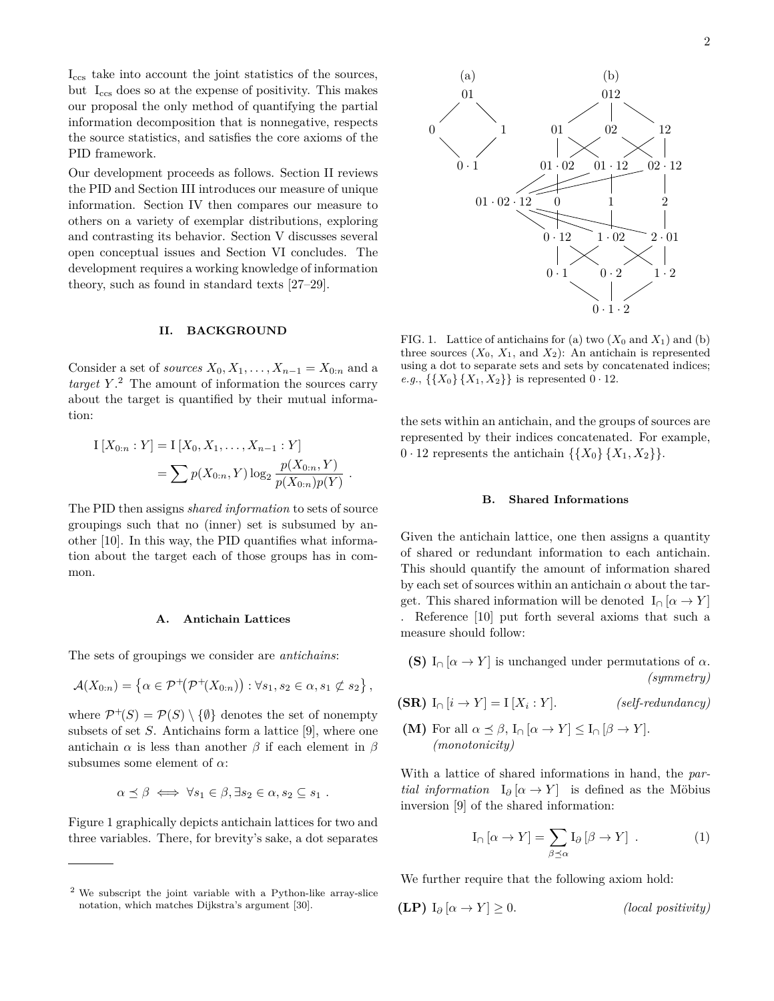Iccs take into account the joint statistics of the sources, but I<sub>ccs</sub> does so at the expense of positivity. This makes our proposal the only method of quantifying the partial information decomposition that is nonnegative, respects the source statistics, and satisfies the core axioms of the PID framework.

Our development proceeds as follows. Section II reviews the PID and Section III introduces our measure of unique information. Section IV then compares our measure to others on a variety of exemplar distributions, exploring and contrasting its behavior. Section V discusses several open conceptual issues and Section VI concludes. The development requires a working knowledge of information theory, such as found in standard texts [27–29].

#### **II. BACKGROUND**

Consider a set of *sources*  $X_0, X_1, \ldots, X_{n-1} = X_{0:n}$  and a *target Y* . <sup>2</sup> The amount of information the sources carry about the target is quantified by their mutual information:

$$
I[X_{0:n}:Y] = I[X_0, X_1, \dots, X_{n-1}:Y]
$$
  
=  $\sum p(X_{0:n}, Y) \log_2 \frac{p(X_{0:n}, Y)}{p(X_{0:n})p(Y)}$ .

The PID then assigns *shared information* to sets of source groupings such that no (inner) set is subsumed by another [10]. In this way, the PID quantifies what information about the target each of those groups has in common.

#### **A. Antichain Lattices**

The sets of groupings we consider are *antichains*:

$$
\mathcal{A}(X_{0:n}) = \left\{ \alpha \in \mathcal{P}^+(\mathcal{P}^+(X_{0:n})) : \forall s_1, s_2 \in \alpha, s_1 \not\subset s_2 \right\},\
$$

where  $\mathcal{P}^+(S) = \mathcal{P}(S) \setminus \{\emptyset\}$  denotes the set of nonempty subsets of set *S*. Antichains form a lattice [9], where one antichain  $\alpha$  is less than another  $\beta$  if each element in  $\beta$ subsumes some element of *α*:

$$
\alpha \preceq \beta \iff \forall s_1 \in \beta, \exists s_2 \in \alpha, s_2 \subseteq s_1 .
$$

Figure 1 graphically depicts antichain lattices for two and three variables. There, for brevity's sake, a dot separates



FIG. 1. Lattice of antichains for (a) two  $(X_0 \text{ and } X_1)$  and (b) three sources  $(X_0, X_1, \text{ and } X_2)$ : An antichain is represented using a dot to separate sets and sets by concatenated indices; *e.g.*,  $\{\{X_0\}, \{X_1, X_2\}\}\$ is represented  $0 \cdot 12$ .

the sets within an antichain, and the groups of sources are represented by their indices concatenated. For example,  $0 \cdot 12$  represents the antichain  $\{\{X_0\}, \{X_1, X_2\}\}.$ 

#### **B. Shared Informations**

Given the antichain lattice, one then assigns a quantity of shared or redundant information to each antichain. This should quantify the amount of information shared by each set of sources within an antichain  $\alpha$  about the target. This shared information will be denoted  $I_{\cap}[\alpha \to Y]$ . Reference [10] put forth several axioms that such a measure should follow:

**(S)** 
$$
I_{\cap}[\alpha \to Y]
$$
 is unchanged under permutations of  $\alpha$ .  
(symmetry)

- **(SR)**  $I_{\cap} [i \rightarrow Y] = I [X_i : Y].$ : *Y* ]. *(self-redundancy)*
- **(M)** For all  $\alpha \leq \beta$ ,  $I_{\cap}[\alpha \to Y] \leq I_{\cap}[\beta \to Y]$ . *(monotonicity)*

With a lattice of shared informations in hand, the *partial information*  $I_{\partial}$  [ $\alpha \rightarrow Y$ ] is defined as the Möbius inversion [9] of the shared information:

$$
I_{\cap} [\alpha \to Y] = \sum_{\beta \preceq \alpha} I_{\partial} [\beta \to Y] . \qquad (1)
$$

We further require that the following axiom hold:

**(LP)**  $I_{\partial}[\alpha \to Y] \geq 0$ . *(local positivity)* 

<sup>2</sup> We subscript the joint variable with a Python-like array-slice notation, which matches Dijkstra's argument [30].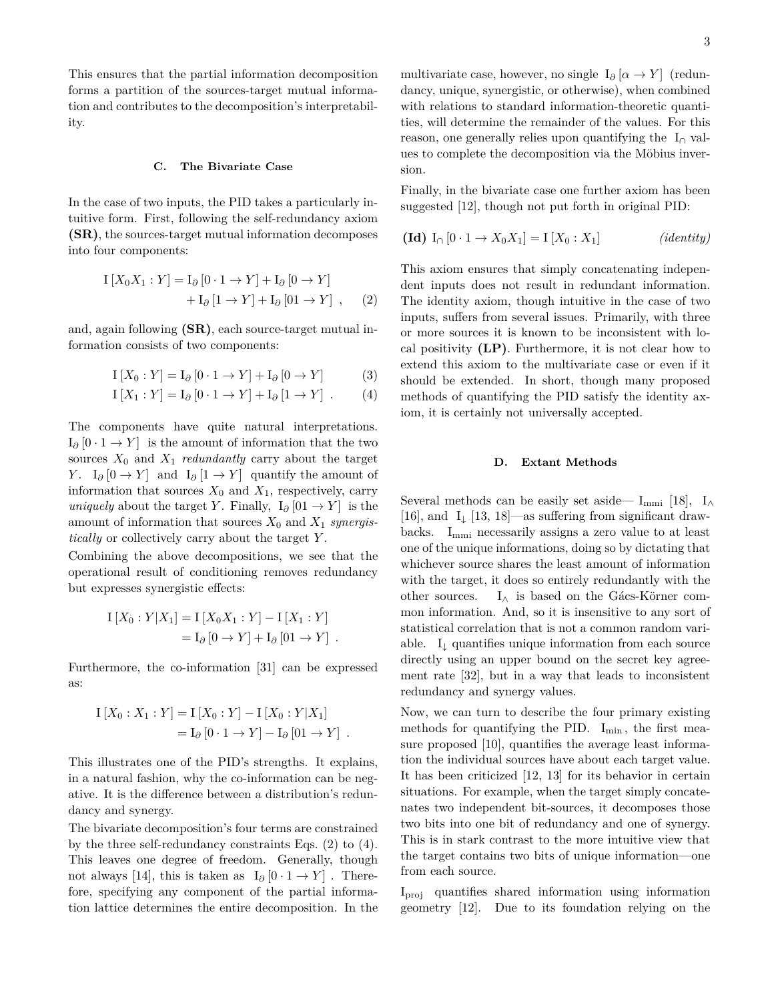This ensures that the partial information decomposition forms a partition of the sources-target mutual information and contributes to the decomposition's interpretability.

## **C. The Bivariate Case**

In the case of two inputs, the PID takes a particularly intuitive form. First, following the self-redundancy axiom **(SR)**, the sources-target mutual information decomposes into four components:

$$
I [X_0 X_1 : Y] = I_{\partial} [0 \cdot 1 \rightarrow Y] + I_{\partial} [0 \rightarrow Y]
$$
  
+ 
$$
I_{\partial} [1 \rightarrow Y] + I_{\partial} [01 \rightarrow Y], \quad (2)
$$

and, again following **(SR)**, each source-target mutual information consists of two components:

$$
I[X_0:Y] = I_{\partial}[0 \cdot 1 \to Y] + I_{\partial}[0 \to Y]
$$
 (3)

$$
I[X_1:Y] = I_{\partial} [0 \cdot 1 \to Y] + I_{\partial} [1 \to Y] . \qquad (4)
$$

The components have quite natural interpretations.  $I_{\partial}$  [0 · 1 → *Y*] is the amount of information that the two sources  $X_0$  and  $X_1$  *redundantly* carry about the target *Y*. I<sub>∂</sub> [0 → *Y*] and I<sub>∂</sub> [1 → *Y*] quantify the amount of information that sources  $X_0$  and  $X_1$ , respectively, carry *uniquely* about the target *Y*. Finally,  $I_{\partial}$  [01 → *Y*] is the amount of information that sources *X*<sup>0</sup> and *X*<sup>1</sup> *synergistically* or collectively carry about the target *Y* .

Combining the above decompositions, we see that the operational result of conditioning removes redundancy but expresses synergistic effects:

$$
I [X_0 : Y | X_1] = I [X_0 X_1 : Y] - I [X_1 : Y]
$$
  
=  $I_{\partial} [0 \to Y] + I_{\partial} [01 \to Y]$ .

Furthermore, the co-information [31] can be expressed as:

$$
I [X_0 : X_1 : Y] = I [X_0 : Y] - I [X_0 : Y | X_1]
$$
  
=  $I_{\partial} [0 \cdot 1 \rightarrow Y] - I_{\partial} [01 \rightarrow Y]$ .

This illustrates one of the PID's strengths. It explains, in a natural fashion, why the co-information can be negative. It is the difference between a distribution's redundancy and synergy.

The bivariate decomposition's four terms are constrained by the three self-redundancy constraints Eqs. (2) to (4). This leaves one degree of freedom. Generally, though not always [14], this is taken as  $I_{\partial}$  [0 · 1 → *Y*]. Therefore, specifying any component of the partial information lattice determines the entire decomposition. In the multivariate case, however, no single  $I_{\partial}$  [ $\alpha \rightarrow Y$ ] (redundancy, unique, synergistic, or otherwise), when combined with relations to standard information-theoretic quantities, will determine the remainder of the values. For this reason, one generally relies upon quantifying the  $I_{\cap}$  values to complete the decomposition via the Möbius inversion.

Finally, in the bivariate case one further axiom has been suggested [12], though not put forth in original PID:

$$
(\mathbf{Id}) \ I_{\cap} [0 \cdot 1 \to X_0 X_1] = I [X_0 : X_1] \qquad (identity)
$$

This axiom ensures that simply concatenating independent inputs does not result in redundant information. The identity axiom, though intuitive in the case of two inputs, suffers from several issues. Primarily, with three or more sources it is known to be inconsistent with local positivity **(LP)**. Furthermore, it is not clear how to extend this axiom to the multivariate case or even if it should be extended. In short, though many proposed methods of quantifying the PID satisfy the identity axiom, it is certainly not universally accepted.

## **D. Extant Methods**

Several methods can be easily set aside—  $I_{mmi}$  [18],  $I_{\wedge}$ [16], and  $I_{\downarrow}$  [13, 18]—as suffering from significant drawbacks.  $I_{mmi}$  necessarily assigns a zero value to at least one of the unique informations, doing so by dictating that whichever source shares the least amount of information with the target, it does so entirely redundantly with the other sources.  $I_{\wedge}$  is based on the Gács-Körner common information. And, so it is insensitive to any sort of statistical correlation that is not a common random variable. I<sup>↓</sup> quantifies unique information from each source directly using an upper bound on the secret key agreement rate [32], but in a way that leads to inconsistent redundancy and synergy values.

Now, we can turn to describe the four primary existing methods for quantifying the PID.  $I_{\min}$ , the first measure proposed [10], quantifies the average least information the individual sources have about each target value. It has been criticized [12, 13] for its behavior in certain situations. For example, when the target simply concatenates two independent bit-sources, it decomposes those two bits into one bit of redundancy and one of synergy. This is in stark contrast to the more intuitive view that the target contains two bits of unique information—one from each source.

Iproj quantifies shared information using information geometry [12]. Due to its foundation relying on the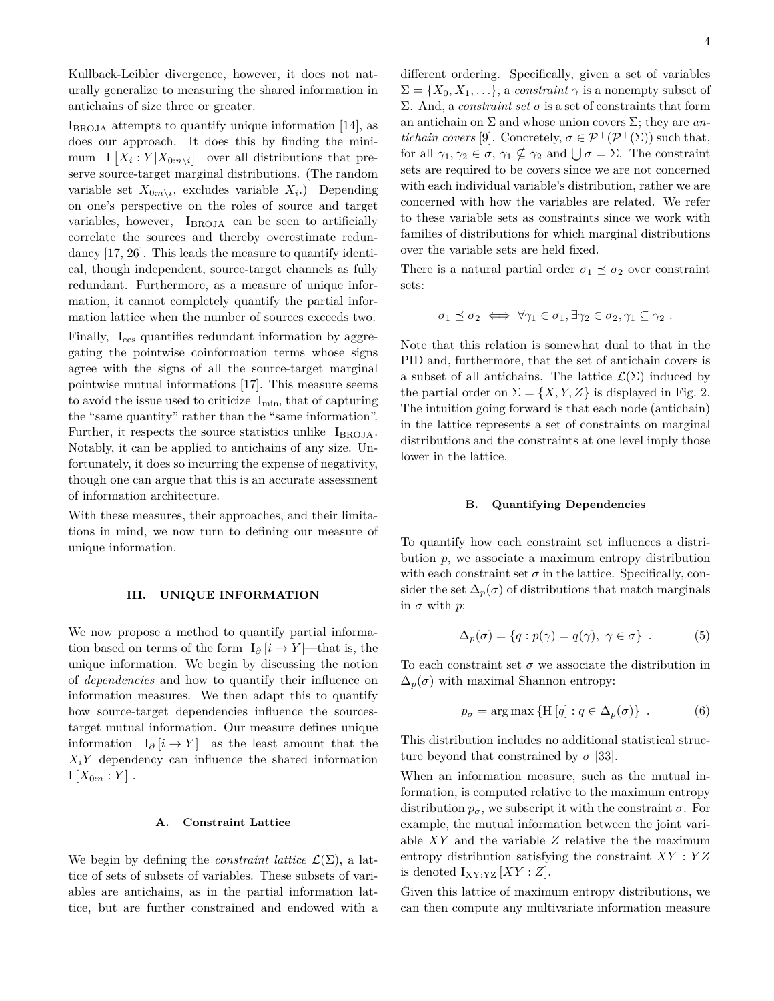Kullback-Leibler divergence, however, it does not naturally generalize to measuring the shared information in antichains of size three or greater.

IBROJA attempts to quantify unique information [14], as does our approach. It does this by finding the minimum  $I[X_i:Y|X_{0:n\setminus i}]$  over all distributions that preserve source-target marginal distributions. (The random variable set  $X_{0:n}\n\backslash i$ , excludes variable  $X_i$ .) Depending on one's perspective on the roles of source and target variables, however, IBROJA can be seen to artificially correlate the sources and thereby overestimate redundancy [17, 26]. This leads the measure to quantify identical, though independent, source-target channels as fully redundant. Furthermore, as a measure of unique information, it cannot completely quantify the partial information lattice when the number of sources exceeds two.

Finally,  $I_{ccs}$  quantifies redundant information by aggregating the pointwise coinformation terms whose signs agree with the signs of all the source-target marginal pointwise mutual informations [17]. This measure seems to avoid the issue used to criticize  $I_{\min}$ , that of capturing the "same quantity" rather than the "same information". Further, it respects the source statistics unlike  $I_{\text{BROJA}}$ . Notably, it can be applied to antichains of any size. Unfortunately, it does so incurring the expense of negativity, though one can argue that this is an accurate assessment of information architecture.

With these measures, their approaches, and their limitations in mind, we now turn to defining our measure of unique information.

### **III. UNIQUE INFORMATION**

We now propose a method to quantify partial information based on terms of the form  $I_{\partial}$  [*i* → *Y*]—that is, the unique information. We begin by discussing the notion of *dependencies* and how to quantify their influence on information measures. We then adapt this to quantify how source-target dependencies influence the sourcestarget mutual information. Our measure defines unique information  $I_{\partial}$  [*i* → *Y*] as the least amount that the  $X_i$ <sup>*Y*</sup> dependency can influence the shared information  $I[X_{0:n}:Y]$ .

#### **A. Constraint Lattice**

We begin by defining the *constraint lattice*  $\mathcal{L}(\Sigma)$ , a lattice of sets of subsets of variables. These subsets of variables are antichains, as in the partial information lattice, but are further constrained and endowed with a different ordering. Specifically, given a set of variables  $\Sigma = \{X_0, X_1, \ldots\}$ , a *constraint*  $\gamma$  is a nonempty subset of Σ. And, a *constraint set σ* is a set of constraints that form an antichain on Σ and whose union covers Σ; they are *antichain covers* [9]. Concretely,  $\sigma \in \mathcal{P}^+(\mathcal{P}^+(\Sigma))$  such that, for all  $\gamma_1, \gamma_2 \in \sigma, \gamma_1 \nsubseteq \gamma_2$  and  $\bigcup \sigma = \Sigma$ . The constraint sets are required to be covers since we are not concerned with each individual variable's distribution, rather we are concerned with how the variables are related. We refer to these variable sets as constraints since we work with families of distributions for which marginal distributions over the variable sets are held fixed.

There is a natural partial order  $\sigma_1 \preceq \sigma_2$  over constraint sets:

$$
\sigma_1 \preceq \sigma_2 \iff \forall \gamma_1 \in \sigma_1, \exists \gamma_2 \in \sigma_2, \gamma_1 \subseteq \gamma_2 .
$$

Note that this relation is somewhat dual to that in the PID and, furthermore, that the set of antichain covers is a subset of all antichains. The lattice  $\mathcal{L}(\Sigma)$  induced by the partial order on  $\Sigma = \{X, Y, Z\}$  is displayed in Fig. 2. The intuition going forward is that each node (antichain) in the lattice represents a set of constraints on marginal distributions and the constraints at one level imply those lower in the lattice.

### **B. Quantifying Dependencies**

To quantify how each constraint set influences a distribution *p*, we associate a maximum entropy distribution with each constraint set  $\sigma$  in the lattice. Specifically, consider the set  $\Delta_p(\sigma)$  of distributions that match marginals in  $\sigma$  with  $p$ :

$$
\Delta_p(\sigma) = \{ q : p(\gamma) = q(\gamma), \ \gamma \in \sigma \} . \tag{5}
$$

To each constraint set  $\sigma$  we associate the distribution in  $\Delta_p(\sigma)$  with maximal Shannon entropy:

$$
p_{\sigma} = \arg \max \{ H [q] : q \in \Delta_p(\sigma) \} . \tag{6}
$$

This distribution includes no additional statistical structure beyond that constrained by  $\sigma$  [33].

When an information measure, such as the mutual information, is computed relative to the maximum entropy distribution  $p_{\sigma}$ , we subscript it with the constraint  $\sigma$ . For example, the mutual information between the joint variable *XY* and the variable *Z* relative the the maximum entropy distribution satisfying the constraint *XY* : *Y Z* is denoted  $I_{XY:YZ}$  [*XY* : *Z*].

Given this lattice of maximum entropy distributions, we can then compute any multivariate information measure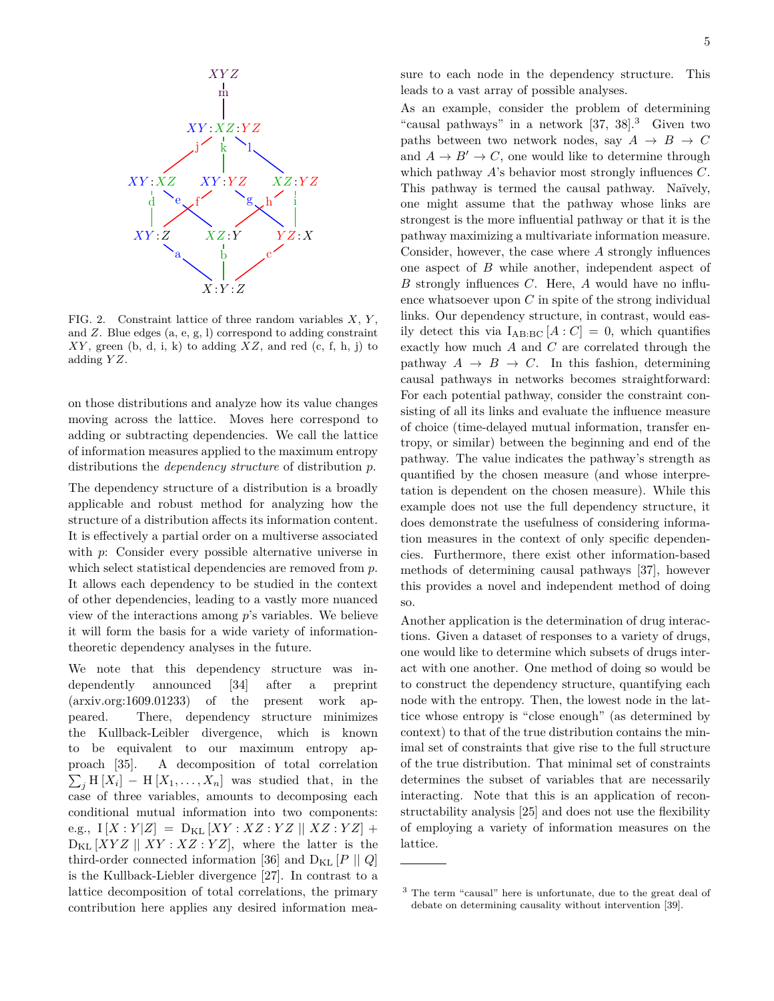

FIG. 2. Constraint lattice of three random variables *X*, *Y* , and *Z*. Blue edges (a, e, g, l) correspond to adding constraint *XY* , green (b, d, i, k) to adding *XZ*, and red (c, f, h, j) to adding *Y Z*.

on those distributions and analyze how its value changes moving across the lattice. Moves here correspond to adding or subtracting dependencies. We call the lattice of information measures applied to the maximum entropy distributions the *dependency structure* of distribution *p*.

The dependency structure of a distribution is a broadly applicable and robust method for analyzing how the structure of a distribution affects its information content. It is effectively a partial order on a multiverse associated with *p*: Consider every possible alternative universe in which select statistical dependencies are removed from *p*. It allows each dependency to be studied in the context of other dependencies, leading to a vastly more nuanced view of the interactions among *p*'s variables. We believe it will form the basis for a wide variety of informationtheoretic dependency analyses in the future.

We note that this dependency structure was independently announced [34] after a preprint (arxiv.org:1609.01233) of the present work appeared. There, dependency structure minimizes the Kullback-Leibler divergence, which is known to be equivalent to our maximum entropy approach [35]. A decomposition of total correlation  $\sum_j$  H  $[X_i]$  – H  $[X_1, \ldots, X_n]$  was studied that, in the case of three variables, amounts to decomposing each conditional mutual information into two components:  $e.g., I[X:Y|Z] = D_{KL}[XY:XZ:YZ | XZ:YZ]$  $D_{KL} [XYZ \mid \big| XY : XZ : YZ],$  where the latter is the third-order connected information [36] and  $D_{KL}$  [*P* || *Q*] is the Kullback-Liebler divergence [27]. In contrast to a lattice decomposition of total correlations, the primary contribution here applies any desired information measure to each node in the dependency structure. This leads to a vast array of possible analyses.

As an example, consider the problem of determining "causal pathways" in a network [37, 38].<sup>3</sup> Given two paths between two network nodes, say  $A \rightarrow B \rightarrow C$ and  $A \rightarrow B' \rightarrow C$ , one would like to determine through which pathway *A*'s behavior most strongly influences *C*. This pathway is termed the causal pathway. Naïvely, one might assume that the pathway whose links are strongest is the more influential pathway or that it is the pathway maximizing a multivariate information measure. Consider, however, the case where *A* strongly influences one aspect of *B* while another, independent aspect of *B* strongly influences *C*. Here, *A* would have no influence whatsoever upon *C* in spite of the strong individual links. Our dependency structure, in contrast, would easily detect this via  $I_{AB:BC}[A:C] = 0$ , which quantifies exactly how much *A* and *C* are correlated through the pathway  $A \rightarrow B \rightarrow C$ . In this fashion, determining causal pathways in networks becomes straightforward: For each potential pathway, consider the constraint consisting of all its links and evaluate the influence measure of choice (time-delayed mutual information, transfer entropy, or similar) between the beginning and end of the pathway. The value indicates the pathway's strength as quantified by the chosen measure (and whose interpretation is dependent on the chosen measure). While this example does not use the full dependency structure, it does demonstrate the usefulness of considering information measures in the context of only specific dependencies. Furthermore, there exist other information-based methods of determining causal pathways [37], however this provides a novel and independent method of doing so.

Another application is the determination of drug interactions. Given a dataset of responses to a variety of drugs, one would like to determine which subsets of drugs interact with one another. One method of doing so would be to construct the dependency structure, quantifying each node with the entropy. Then, the lowest node in the lattice whose entropy is "close enough" (as determined by context) to that of the true distribution contains the minimal set of constraints that give rise to the full structure of the true distribution. That minimal set of constraints determines the subset of variables that are necessarily interacting. Note that this is an application of reconstructability analysis [25] and does not use the flexibility of employing a variety of information measures on the lattice.

<sup>3</sup> The term "causal" here is unfortunate, due to the great deal of debate on determining causality without intervention [39].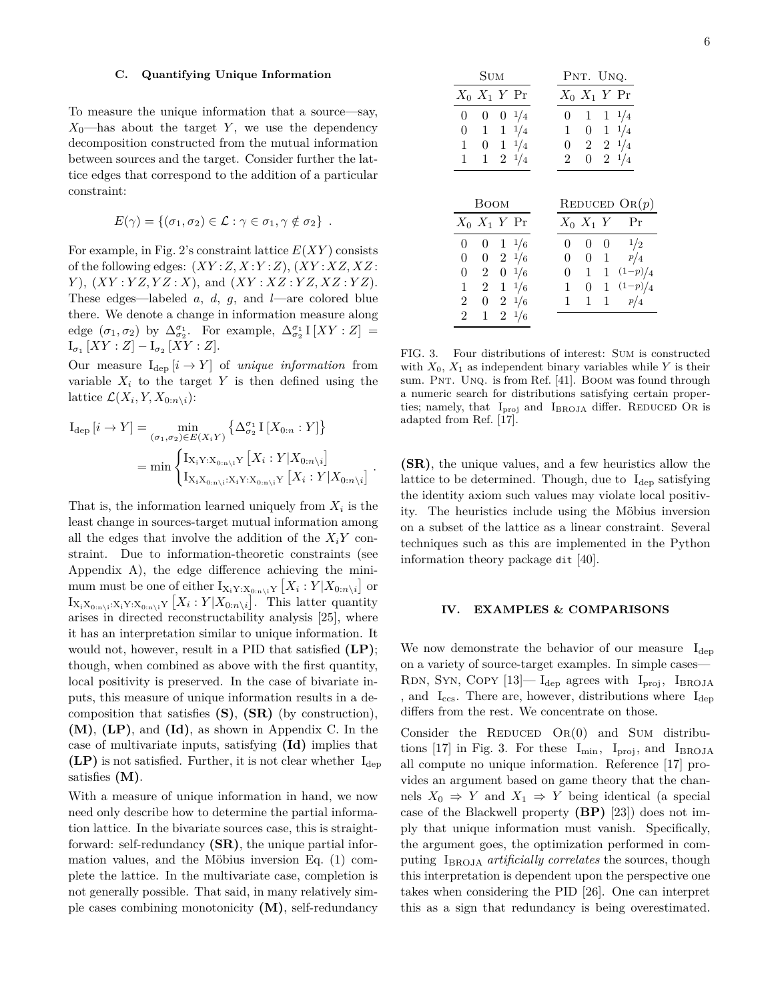#### **C. Quantifying Unique Information**

To measure the unique information that a source—say,  $X_0$ —has about the target *Y*, we use the dependency decomposition constructed from the mutual information between sources and the target. Consider further the lattice edges that correspond to the addition of a particular constraint:

$$
E(\gamma) = \{(\sigma_1, \sigma_2) \in \mathcal{L} : \gamma \in \sigma_1, \gamma \notin \sigma_2\}.
$$

For example, in Fig. 2's constraint lattice *E*(*XY* ) consists of the following edges: (*XY* :*Z, X* :*Y* :*Z*), (*XY* :*XZ, XZ* : *Y* ), (*XY* : *Y Z, Y Z* : *X*), and (*XY* : *XZ* : *Y Z, XZ* : *Y Z*). These edges—labeled *a*, *d*, *g*, and *l*—are colored blue there. We denote a change in information measure along edge  $(\sigma_1, \sigma_2)$  by  $\Delta_{\sigma_2}^{\sigma_1}$ . For example,  $\Delta_{\sigma_2}^{\sigma_1} I [XY : Z] =$  $I_{\sigma_1}[XY:Z] - I_{\sigma_2}[XY:Z].$ 

Our measure  $I_{dep}[i \rightarrow Y]$  of *unique information* from variable  $X_i$  to the target  $Y$  is then defined using the lattice  $\mathcal{L}(X_i, Y, X_{0:n \setminus i})$ :

$$
I_{\text{dep}}[i \rightarrow Y] = \min_{(\sigma_1, \sigma_2) \in E(X_iY)} \left\{ \Delta_{\sigma_2}^{\sigma_1} I [X_{0:n} : Y] \right\}
$$
  
= 
$$
\min \begin{cases} I_{X_iY:X_{0:n\backslash i}Y} [X_i : Y | X_{0:n\backslash i}] \\ I_{X_iX_{0:n\backslash i} : X_iY:X_{0:n\backslash i}Y} [X_i : Y | X_{0:n\backslash i}] \end{cases}.
$$

That is, the information learned uniquely from  $X_i$  is the least change in sources-target mutual information among all the edges that involve the addition of the  $X_iY$  constraint. Due to information-theoretic constraints (see Appendix A), the edge difference achieving the minimum must be one of either  $I_{X_i Y : X_{0:n \setminus i} Y} [X_i : Y | X_{0:n \setminus i}]$  or  $I_{X_iX_{0:n\setminus i}:X_iY:X_{0:n\setminus i}Y}$  [ $X_i:Y|X_{0:n\setminus i}$ ]. This latter quantity arises in directed reconstructability analysis [25], where it has an interpretation similar to unique information. It would not, however, result in a PID that satisfied **(LP)**; though, when combined as above with the first quantity, local positivity is preserved. In the case of bivariate inputs, this measure of unique information results in a decomposition that satisfies **(S)**, **(SR)** (by construction), **(M)**, **(LP)**, and **(Id)**, as shown in Appendix C. In the case of multivariate inputs, satisfying **(Id)** implies that  $(LP)$  is not satisfied. Further, it is not clear whether  $I_{dep}$ satisfies **(M)**.

With a measure of unique information in hand, we now need only describe how to determine the partial information lattice. In the bivariate sources case, this is straightforward: self-redundancy **(SR)**, the unique partial information values, and the Möbius inversion Eq. (1) complete the lattice. In the multivariate case, completion is not generally possible. That said, in many relatively simple cases combining monotonicity **(M)**, self-redundancy

| SUM                               | PNT. UNQ.                                                     |  |  |
|-----------------------------------|---------------------------------------------------------------|--|--|
| $X_0$ $X_1$ $Y$ $Pr$              | $X_0$ $X_1$ $Y$ Pr                                            |  |  |
| $\overline{0}$<br>$0 \t 0 \t 1/4$ | $1 \t1 \t1/4$<br>$\overline{0}$                               |  |  |
| $\boldsymbol{0}$<br>$1 \t1 \t1/4$ | $0 \t1 \t1/4$<br>$\mathbf{1}$                                 |  |  |
| $1 \t 0 \t 1 \t 1/4$              | $0 \t2 \t2 \t1/4$                                             |  |  |
| $\mathbf{1}$<br>$1 \t2 \t1/4$     | $0 \t2 \t1/4$<br>$2^{\circ}$                                  |  |  |
|                                   |                                                               |  |  |
| <b>BOOM</b>                       | REDUCED $\text{OR}(p)$                                        |  |  |
| $X_0$ $X_1$ $Y$ $Pr$              | $X_0$ $X_1$ $Y$<br>Pr                                         |  |  |
| $0 \t 0 \t 1 \t 1/6$              | $\overline{0}$<br>0<br>$\theta$                               |  |  |
| $0 \t2 \t1/6$<br>$\boldsymbol{0}$ | $\frac{1}{2}$<br>$\frac{p}{4}$<br>$0\quad1$<br>$\overline{0}$ |  |  |

0 1 1 (1−*p*)*/*<sup>4</sup> 1 0 1 (1−*p*)*/*<sup>4</sup> 1 1 1 *<sup>p</sup>/*<sup>4</sup>

 $X_0$   $X_1$ 0 0

> $\begin{array}{ccc} 0 & 2 & 0 & 1/6 \\ 1 & 2 & 1 & 1/6 \end{array}$ 1 2 1 <sup>1</sup>*/*<sup>6</sup> 2 0 2 <sup>1</sup>*/*<sup>6</sup> 2 1 2 <sup>1</sup>*/*<sup>6</sup>

FIG. 3. Four distributions of interest: Sum is constructed with  $X_0$ ,  $X_1$  as independent binary variables while *Y* is their sum. PNT. UNQ. is from Ref. [41]. BOOM was found through a numeric search for distributions satisfying certain properties; namely, that  $I_{proj}$  and  $I_{BROJA}$  differ. REDUCED OR is adapted from Ref. [17].

**(SR)**, the unique values, and a few heuristics allow the lattice to be determined. Though, due to  $I_{\text{dep}}$  satisfying the identity axiom such values may violate local positivity. The heuristics include using the Möbius inversion on a subset of the lattice as a linear constraint. Several techniques such as this are implemented in the Python information theory package dit [40].

## **IV. EXAMPLES & COMPARISONS**

We now demonstrate the behavior of our measure  $I_{\text{dep}}$ on a variety of source-target examples. In simple cases— RDN, SYN, COPY  $[13]$ — I<sub>dep</sub> agrees with I<sub>proj</sub>, I<sub>BROJA</sub> , and  $I_{\text{ccs}}$ . There are, however, distributions where  $I_{\text{dep}}$ differs from the rest. We concentrate on those.

Consider the REDUCED  $OR(0)$  and SUM distributions [17] in Fig. 3. For these  $I_{\text{min}}$ ,  $I_{\text{proj}}$ , and  $I_{\text{BROJA}}$ all compute no unique information. Reference [17] provides an argument based on game theory that the channels  $X_0 \Rightarrow Y$  and  $X_1 \Rightarrow Y$  being identical (a special case of the Blackwell property **(BP)** [23]) does not imply that unique information must vanish. Specifically, the argument goes, the optimization performed in computing IBROJA *artificially correlates* the sources, though this interpretation is dependent upon the perspective one takes when considering the PID [26]. One can interpret this as a sign that redundancy is being overestimated.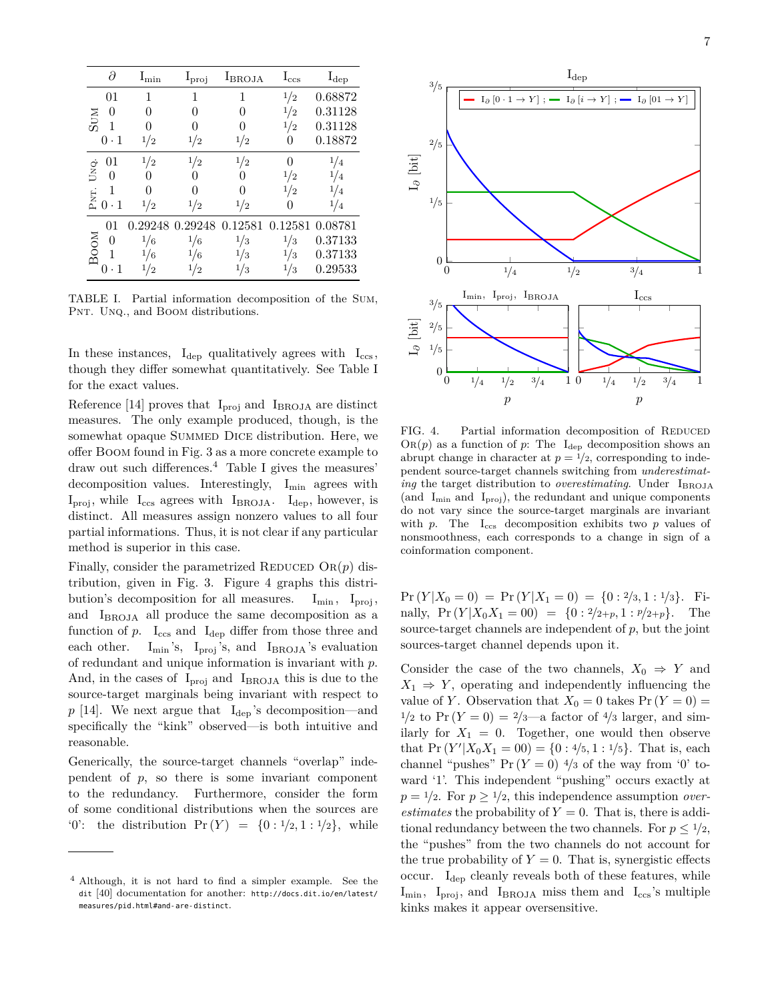|            | д                           | $I_{\min}$ | $l_{\text{proj}}$ | $I_{BROJA}$ | $\rm I_{\rm ccs}$ | $I_{dep}$      |
|------------|-----------------------------|------------|-------------------|-------------|-------------------|----------------|
| <b>NUS</b> | 01                          | 1          | 1                 | 1           | 1/2               | 0.68872        |
|            | $\left( \right)$            |            | O                 | 0           | '2                | 0.31128        |
|            |                             |            |                   | 0           | ′2                | 0.31128        |
|            | $\cdot\,1$<br>0             | 1/2        | $\frac{1}{2}$     | 1/2         |                   | 0.18872        |
| UNQ.       | 01                          | 1/2        | 1/2               | 1/2         |                   | 1/4            |
|            | $\mathbf{0}$                |            |                   |             | $^{1/2}$          | $\overline{4}$ |
|            |                             |            |                   | O           | '2                | 1/4            |
| PNT.       | $\cdot$ 1<br>$\overline{0}$ | 1/2        | 1/2               | 1/2         |                   | $\overline{4}$ |
| BOOM       | 01                          |            | 0.29248 0.29248   | 0.12581     | 0.12581 0.08781   |                |
|            | 0                           | 1/6        | 1/6               | 1/3         | 1/3               | 0.37133        |
|            |                             | $\epsilon$ | $^{1/6}$          | $^{1/3}$    | $^{1/3}$          | 0.37133        |
|            |                             | $^{\rm 2}$ | 2                 | ΄3          | ′3                | ${0.29533}$    |

TABLE I. Partial information decomposition of the Sum, PNT. UNQ., and BOOM distributions.

In these instances,  $I_{dep}$  qualitatively agrees with  $I_{ccs}$ , though they differ somewhat quantitatively. See Table I for the exact values.

Reference [14] proves that  $I_{\text{proj}}$  and  $I_{\text{BROJA}}$  are distinct measures. The only example produced, though, is the somewhat opaque SUMMED DICE distribution. Here, we offer Boom found in Fig. 3 as a more concrete example to draw out such differences.<sup>4</sup> Table I gives the measures' decomposition values. Interestingly, I<sub>min</sub> agrees with  $I_{\text{proj}}$ , while  $I_{\text{ccs}}$  agrees with  $I_{\text{BROJA}}$ .  $I_{\text{dep}}$ , however, is distinct. All measures assign nonzero values to all four partial informations. Thus, it is not clear if any particular method is superior in this case.

Finally, consider the parametrized REDUCED  $\text{OR}(p)$  distribution, given in Fig. 3. Figure 4 graphs this distribution's decomposition for all measures.  $I_{\text{min}}$ ,  $I_{\text{proj}}$ , and IBROJA all produce the same decomposition as a function of  $p$ .  $I_{ccs}$  and  $I_{dep}$  differ from those three and each other.  $I_{\text{min}}$ 's,  $I_{\text{proj}}$ 's, and  $I_{\text{BROJA}}$ 's evaluation of redundant and unique information is invariant with *p*. And, in the cases of  $I_{\text{proj}}$  and  $I_{\text{BROJA}}$  this is due to the source-target marginals being invariant with respect to  $p$  [14]. We next argue that  $I_{dep}$ 's decomposition—and specifically the "kink" observed—is both intuitive and reasonable.

Generically, the source-target channels "overlap" independent of *p*, so there is some invariant component to the redundancy. Furthermore, consider the form of some conditional distributions when the sources are '0': the distribution  $Pr(Y) = \{0: \frac{1}{2}, 1: \frac{1}{2}\},$  while



FIG. 4. Partial information decomposition of REDUCED  $OR(p)$  as a function of *p*: The  $I_{dep}$  decomposition shows an abrupt change in character at  $p = \frac{1}{2}$ , corresponding to independent source-target channels switching from *underestimating* the target distribution to *overestimating*. Under I<sub>BROJA</sub> (and  $I_{\text{min}}$  and  $I_{\text{proj}}$ ), the redundant and unique components do not vary since the source-target marginals are invariant with *p*. The  $I_{\text{ccs}}$  decomposition exhibits two *p* values of nonsmoothness, each corresponds to a change in sign of a coinformation component.

 $Pr(Y|X_0 = 0) = Pr(Y|X_1 = 0) = \{0: 2/3, 1: 1/3\}.$  Finally,  $Pr(Y|X_0X_1 = 00) = \{0: \frac{2}{2+p}, 1: \frac{p}{2+p}\}.$  The source-target channels are independent of *p*, but the joint sources-target channel depends upon it.

Consider the case of the two channels,  $X_0 \Rightarrow Y$  and  $X_1 \Rightarrow Y$ , operating and independently influencing the value of *Y*. Observation that  $X_0 = 0$  takes  $Pr(Y = 0) =$  $1/2$  to Pr  $(Y = 0) = \frac{2}{3}$  factor of  $\frac{4}{3}$  larger, and similarly for  $X_1 = 0$ . Together, one would then observe that  $Pr(Y'|X_0X_1 = 00) = \{0: 4/5, 1: 1/5\}$ . That is, each channel "pushes"  $Pr(Y = 0)$  <sup>4</sup>/<sub>3</sub> of the way from '0' toward '1'. This independent "pushing" occurs exactly at  $p = \frac{1}{2}$ . For  $p \geq \frac{1}{2}$ , this independence assumption *overestimates* the probability of  $Y = 0$ . That is, there is additional redundancy between the two channels. For  $p \leq 1/2$ , the "pushes" from the two channels do not account for the true probability of  $Y = 0$ . That is, synergistic effects occur. Idep cleanly reveals both of these features, while  $I_{\text{min}}$ ,  $I_{\text{proj}}$ , and  $I_{\text{BROJA}}$  miss them and  $I_{\text{ccs}}$ 's multiple kinks makes it appear oversensitive.

<sup>4</sup> Although, it is not hard to find a simpler example. See the dit [40] documentation for another: http://docs.dit.io/en/latest/ measures/pid.html#and-are-distinct.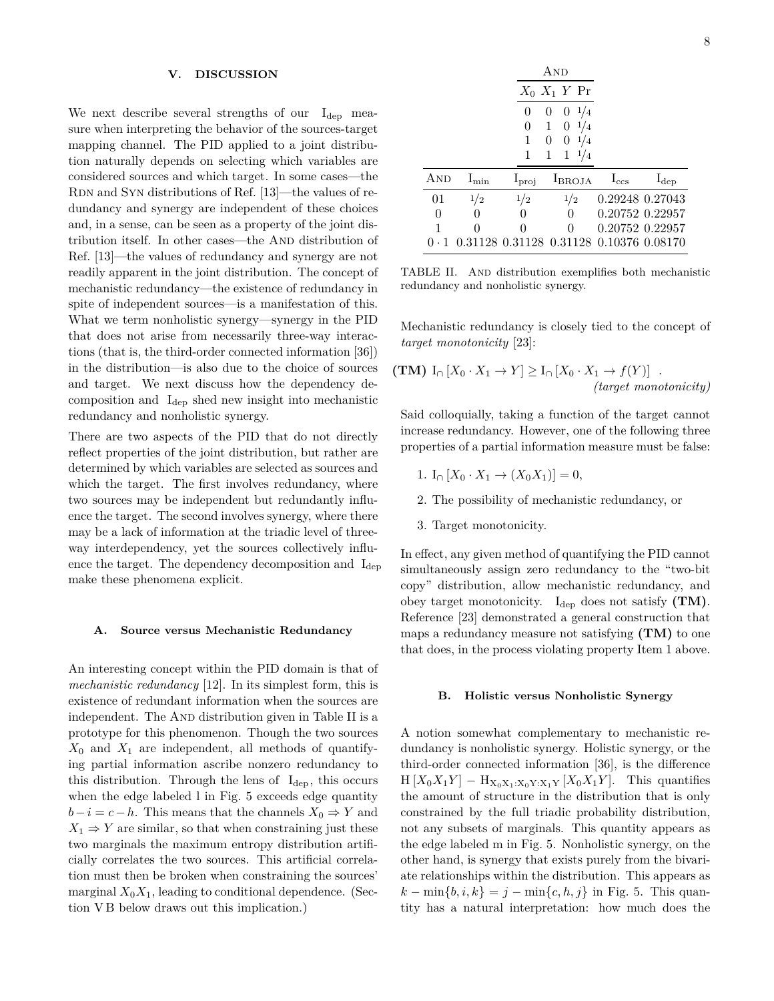## **V. DISCUSSION**

We next describe several strengths of our  $I_{dep}$  measure when interpreting the behavior of the sources-target mapping channel. The PID applied to a joint distribution naturally depends on selecting which variables are considered sources and which target. In some cases—the RDN and SYN distributions of Ref. [13]—the values of redundancy and synergy are independent of these choices and, in a sense, can be seen as a property of the joint distribution itself. In other cases—the And distribution of Ref. [13]—the values of redundancy and synergy are not readily apparent in the joint distribution. The concept of mechanistic redundancy—the existence of redundancy in spite of independent sources—is a manifestation of this. What we term nonholistic synergy—synergy in the PID that does not arise from necessarily three-way interactions (that is, the third-order connected information [36]) in the distribution—is also due to the choice of sources and target. We next discuss how the dependency decomposition and  $I_{\text{dep}}$  shed new insight into mechanistic redundancy and nonholistic synergy.

There are two aspects of the PID that do not directly reflect properties of the joint distribution, but rather are determined by which variables are selected as sources and which the target. The first involves redundancy, where two sources may be independent but redundantly influence the target. The second involves synergy, where there may be a lack of information at the triadic level of threeway interdependency, yet the sources collectively influence the target. The dependency decomposition and  $I_{\text{dep}}$ make these phenomena explicit.

### **A. Source versus Mechanistic Redundancy**

An interesting concept within the PID domain is that of *mechanistic redundancy* [12]. In its simplest form, this is existence of redundant information when the sources are independent. The AND distribution given in Table II is a prototype for this phenomenon. Though the two sources  $X_0$  and  $X_1$  are independent, all methods of quantifying partial information ascribe nonzero redundancy to this distribution. Through the lens of  $I_{dep}$ , this occurs when the edge labeled l in Fig. 5 exceeds edge quantity  $b-i = c-h$ . This means that the channels  $X_0 \Rightarrow Y$  and  $X_1 \Rightarrow Y$  are similar, so that when constraining just these two marginals the maximum entropy distribution artificially correlates the two sources. This artificial correlation must then be broken when constraining the sources' marginal  $X_0X_1$ , leading to conditional dependence. (Section V B below draws out this implication.)

|             |                   |                   | AND                                     |               |                 |
|-------------|-------------------|-------------------|-----------------------------------------|---------------|-----------------|
|             |                   |                   | $X_0$ $X_1$ Y Pr                        |               |                 |
|             |                   | 0                 | $0 \frac{1}{4}$<br>$\theta$             |               |                 |
|             |                   | 0                 | $1 \t 0 \t 1/4$                         |               |                 |
|             |                   |                   | $0 \frac{1}{4}$<br>0                    |               |                 |
|             |                   |                   | $1 \frac{1}{4}$<br>1                    |               |                 |
| AND         | $\rm I_{\rm min}$ | $I_{\text{proj}}$ | $I_{BROJA}$                             | $I_{\rm ccs}$ | $I_{dep}$       |
| 01          | 1/2               | 1/2               | 1/2                                     |               | 0.29248 0.27043 |
| $\theta$    | 0                 |                   | $\Omega$                                |               | 0.20752 0.22957 |
| -1          | 0                 | $\Omega$          | $\Omega$                                |               | 0.20752 0.22957 |
| $0 \cdot 1$ |                   |                   | 0.31128 0.31128 0.31128 0.10376 0.08170 |               |                 |

TABLE II. And distribution exemplifies both mechanistic redundancy and nonholistic synergy.

Mechanistic redundancy is closely tied to the concept of *target monotonicity* [23]:

(TM) 
$$
I_{\cap}[X_0 \cdot X_1 \to Y] \ge I_{\cap}[X_0 \cdot X_1 \to f(Y)]
$$
.  
(target monotonicity)

Said colloquially, taking a function of the target cannot increase redundancy. However, one of the following three properties of a partial information measure must be false:

- 1. I<sub>o</sub>  $[X_0 \cdot X_1 \to (X_0 X_1)] = 0$ ,
- 2. The possibility of mechanistic redundancy, or
- 3. Target monotonicity.

In effect, any given method of quantifying the PID cannot simultaneously assign zero redundancy to the "two-bit copy" distribution, allow mechanistic redundancy, and obey target monotonicity. I<sub>dep</sub> does not satisfy (TM). Reference [23] demonstrated a general construction that maps a redundancy measure not satisfying **(TM)** to one that does, in the process violating property Item 1 above.

#### **B. Holistic versus Nonholistic Synergy**

A notion somewhat complementary to mechanistic redundancy is nonholistic synergy. Holistic synergy, or the third-order connected information [36], is the difference  $H[X_0X_1Y] - H_{X_0X_1:X_0Y:X_1Y}[X_0X_1Y]$ . This quantifies the amount of structure in the distribution that is only constrained by the full triadic probability distribution, not any subsets of marginals. This quantity appears as the edge labeled m in Fig. 5. Nonholistic synergy, on the other hand, is synergy that exists purely from the bivariate relationships within the distribution. This appears as  $k - \min\{b, i, k\} = j - \min\{c, h, j\}$  in Fig. 5. This quantity has a natural interpretation: how much does the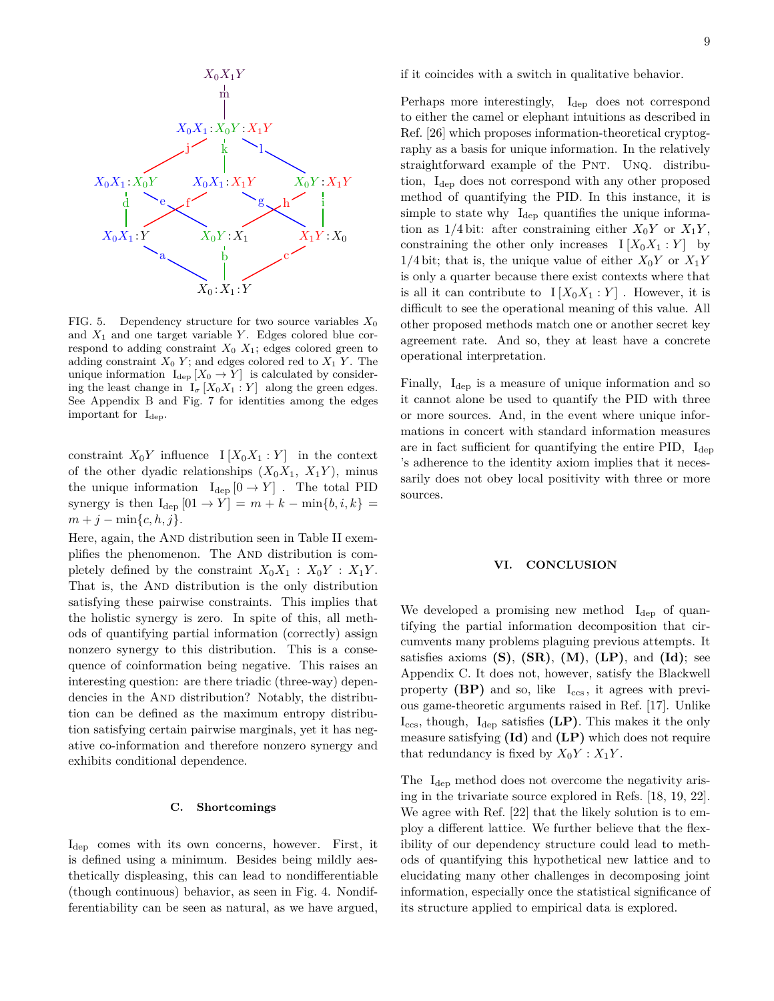

FIG. 5. Dependency structure for two source variables  $X_0$ and  $X_1$  and one target variable  $Y$ . Edges colored blue correspond to adding constraint  $X_0$   $X_1$ ; edges colored green to adding constraint  $X_0$   $Y$ ; and edges colored red to  $X_1$   $Y$ . The unique information  $I_{\text{dep}}[X_0 \to Y]$  is calculated by considering the least change in  $I_{\sigma}[X_0X_1:Y]$  along the green edges. See Appendix B and Fig. 7 for identities among the edges important for  $I_{dep}$ .

constraint  $X_0Y$  influence  $I[X_0X_1:Y]$  in the context of the other dyadic relationships  $(X_0X_1, X_1Y)$ , minus the unique information  $I_{dep} [0 \rightarrow Y]$ . The total PID synergy is then  $I_{\text{dep}}[01 \rightarrow Y] = m + k - \min\{b, i, k\}$  $m + j - \min\{c, h, j\}.$ 

Here, again, the AND distribution seen in Table II exemplifies the phenomenon. The AND distribution is completely defined by the constraint  $X_0X_1$  :  $X_0Y$  :  $X_1Y$ . That is, the And distribution is the only distribution satisfying these pairwise constraints. This implies that the holistic synergy is zero. In spite of this, all methods of quantifying partial information (correctly) assign nonzero synergy to this distribution. This is a consequence of coinformation being negative. This raises an interesting question: are there triadic (three-way) dependencies in the AND distribution? Notably, the distribution can be defined as the maximum entropy distribution satisfying certain pairwise marginals, yet it has negative co-information and therefore nonzero synergy and exhibits conditional dependence.

## **C. Shortcomings**

Idep comes with its own concerns, however. First, it is defined using a minimum. Besides being mildly aesthetically displeasing, this can lead to nondifferentiable (though continuous) behavior, as seen in Fig. 4. Nondifferentiability can be seen as natural, as we have argued, if it coincides with a switch in qualitative behavior.

Perhaps more interestingly,  $I_{dep}$  does not correspond to either the camel or elephant intuitions as described in Ref. [26] which proposes information-theoretical cryptography as a basis for unique information. In the relatively straightforward example of the PNT. UNQ. distribution, I<sub>dep</sub> does not correspond with any other proposed method of quantifying the PID. In this instance, it is simple to state why  $I_{\text{dep}}$  quantifies the unique information as  $1/4$  bit: after constraining either  $X_0Y$  or  $X_1Y$ , constraining the other only increases  $I[X_0X_1:Y]$  by 1/4 bit; that is, the unique value of either  $X_0Y$  or  $X_1Y$ is only a quarter because there exist contexts where that is all it can contribute to  $I[X_0X_1:Y]$ . However, it is difficult to see the operational meaning of this value. All other proposed methods match one or another secret key agreement rate. And so, they at least have a concrete operational interpretation.

Finally,  $I_{dep}$  is a measure of unique information and so it cannot alone be used to quantify the PID with three or more sources. And, in the event where unique informations in concert with standard information measures are in fact sufficient for quantifying the entire PID,  $I_{\text{dep}}$ 's adherence to the identity axiom implies that it necessarily does not obey local positivity with three or more sources.

## **VI. CONCLUSION**

We developed a promising new method  $I_{dep}$  of quantifying the partial information decomposition that circumvents many problems plaguing previous attempts. It satisfies axioms **(S)**, **(SR)**, **(M)**, **(LP)**, and **(Id)**; see Appendix C. It does not, however, satisfy the Blackwell property  $(BP)$  and so, like  $I_{ccs}$ , it agrees with previous game-theoretic arguments raised in Ref. [17]. Unlike  $I_{ccs}$ , though,  $I_{dep}$  satisfies  $(LP)$ . This makes it the only measure satisfying **(Id)** and **(LP)** which does not require that redundancy is fixed by  $X_0Y : X_1Y$ .

The  $I_{\text{dep}}$  method does not overcome the negativity arising in the trivariate source explored in Refs. [18, 19, 22]. We agree with Ref. [22] that the likely solution is to employ a different lattice. We further believe that the flexibility of our dependency structure could lead to methods of quantifying this hypothetical new lattice and to elucidating many other challenges in decomposing joint information, especially once the statistical significance of its structure applied to empirical data is explored.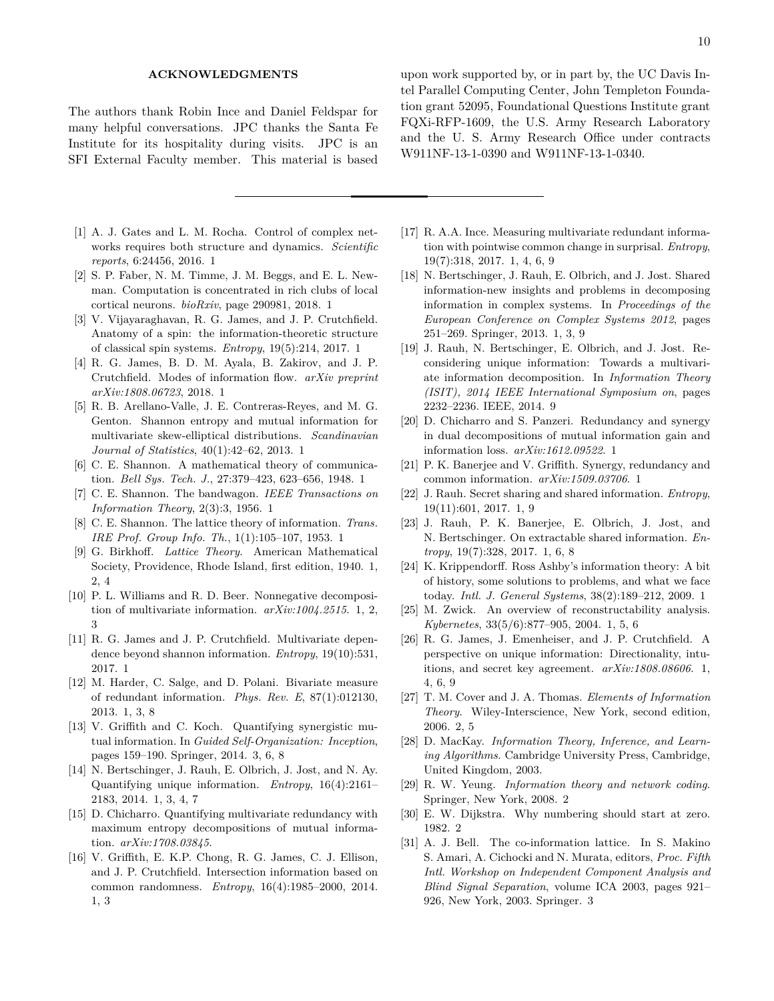## **ACKNOWLEDGMENTS**

The authors thank Robin Ince and Daniel Feldspar for many helpful conversations. JPC thanks the Santa Fe Institute for its hospitality during visits. JPC is an SFI External Faculty member. This material is based

- [1] A. J. Gates and L. M. Rocha. Control of complex networks requires both structure and dynamics. *Scientific reports*, 6:24456, 2016. 1
- [2] S. P. Faber, N. M. Timme, J. M. Beggs, and E. L. Newman. Computation is concentrated in rich clubs of local cortical neurons. *bioRxiv*, page 290981, 2018. 1
- [3] V. Vijayaraghavan, R. G. James, and J. P. Crutchfield. Anatomy of a spin: the information-theoretic structure of classical spin systems. *Entropy*, 19(5):214, 2017. 1
- [4] R. G. James, B. D. M. Ayala, B. Zakirov, and J. P. Crutchfield. Modes of information flow. *arXiv preprint arXiv:1808.06723*, 2018. 1
- [5] R. B. Arellano-Valle, J. E. Contreras-Reyes, and M. G. Genton. Shannon entropy and mutual information for multivariate skew-elliptical distributions. *Scandinavian Journal of Statistics*, 40(1):42–62, 2013. 1
- [6] C. E. Shannon. A mathematical theory of communication. *Bell Sys. Tech. J.*, 27:379–423, 623–656, 1948. 1
- [7] C. E. Shannon. The bandwagon. *IEEE Transactions on Information Theory*, 2(3):3, 1956. 1
- [8] C. E. Shannon. The lattice theory of information. *Trans. IRE Prof. Group Info. Th.*, 1(1):105–107, 1953. 1
- [9] G. Birkhoff. *Lattice Theory*. American Mathematical Society, Providence, Rhode Island, first edition, 1940. 1, 2, 4
- [10] P. L. Williams and R. D. Beer. Nonnegative decomposition of multivariate information. *arXiv:1004.2515*. 1, 2, 3
- [11] R. G. James and J. P. Crutchfield. Multivariate dependence beyond shannon information. *Entropy*, 19(10):531, 2017. 1
- [12] M. Harder, C. Salge, and D. Polani. Bivariate measure of redundant information. *Phys. Rev. E*, 87(1):012130, 2013. 1, 3, 8
- [13] V. Griffith and C. Koch. Quantifying synergistic mutual information. In *Guided Self-Organization: Inception*, pages 159–190. Springer, 2014. 3, 6, 8
- [14] N. Bertschinger, J. Rauh, E. Olbrich, J. Jost, and N. Ay. Quantifying unique information. *Entropy*, 16(4):2161– 2183, 2014. 1, 3, 4, 7
- [15] D. Chicharro. Quantifying multivariate redundancy with maximum entropy decompositions of mutual information. *arXiv:1708.03845*.
- [16] V. Griffith, E. K.P. Chong, R. G. James, C. J. Ellison, and J. P. Crutchfield. Intersection information based on common randomness. *Entropy*, 16(4):1985–2000, 2014. 1, 3

upon work supported by, or in part by, the UC Davis Intel Parallel Computing Center, John Templeton Foundation grant 52095, Foundational Questions Institute grant FQXi-RFP-1609, the U.S. Army Research Laboratory and the U. S. Army Research Office under contracts W911NF-13-1-0390 and W911NF-13-1-0340.

- [17] R. A.A. Ince. Measuring multivariate redundant information with pointwise common change in surprisal. *Entropy*, 19(7):318, 2017. 1, 4, 6, 9
- [18] N. Bertschinger, J. Rauh, E. Olbrich, and J. Jost. Shared information-new insights and problems in decomposing information in complex systems. In *Proceedings of the European Conference on Complex Systems 2012*, pages 251–269. Springer, 2013. 1, 3, 9
- [19] J. Rauh, N. Bertschinger, E. Olbrich, and J. Jost. Reconsidering unique information: Towards a multivariate information decomposition. In *Information Theory (ISIT), 2014 IEEE International Symposium on*, pages 2232–2236. IEEE, 2014. 9
- [20] D. Chicharro and S. Panzeri. Redundancy and synergy in dual decompositions of mutual information gain and information loss. *arXiv:1612.09522*. 1
- [21] P. K. Banerjee and V. Griffith. Synergy, redundancy and common information. *arXiv:1509.03706*. 1
- [22] J. Rauh. Secret sharing and shared information. *Entropy*, 19(11):601, 2017. 1, 9
- [23] J. Rauh, P. K. Banerjee, E. Olbrich, J. Jost, and N. Bertschinger. On extractable shared information. *Entropy*, 19(7):328, 2017. 1, 6, 8
- [24] K. Krippendorff. Ross Ashby's information theory: A bit of history, some solutions to problems, and what we face today. *Intl. J. General Systems*, 38(2):189–212, 2009. 1
- [25] M. Zwick. An overview of reconstructability analysis. *Kybernetes*, 33(5/6):877–905, 2004. 1, 5, 6
- [26] R. G. James, J. Emenheiser, and J. P. Crutchfield. A perspective on unique information: Directionality, intuitions, and secret key agreement. *arXiv:1808.08606*. 1, 4, 6, 9
- [27] T. M. Cover and J. A. Thomas. *Elements of Information Theory*. Wiley-Interscience, New York, second edition, 2006. 2, 5
- [28] D. MacKay. *Information Theory, Inference, and Learning Algorithms*. Cambridge University Press, Cambridge, United Kingdom, 2003.
- [29] R. W. Yeung. *Information theory and network coding*. Springer, New York, 2008. 2
- [30] E. W. Dijkstra. Why numbering should start at zero. 1982. 2
- [31] A. J. Bell. The co-information lattice. In S. Makino S. Amari, A. Cichocki and N. Murata, editors, *Proc. Fifth Intl. Workshop on Independent Component Analysis and Blind Signal Separation*, volume ICA 2003, pages 921– 926, New York, 2003. Springer. 3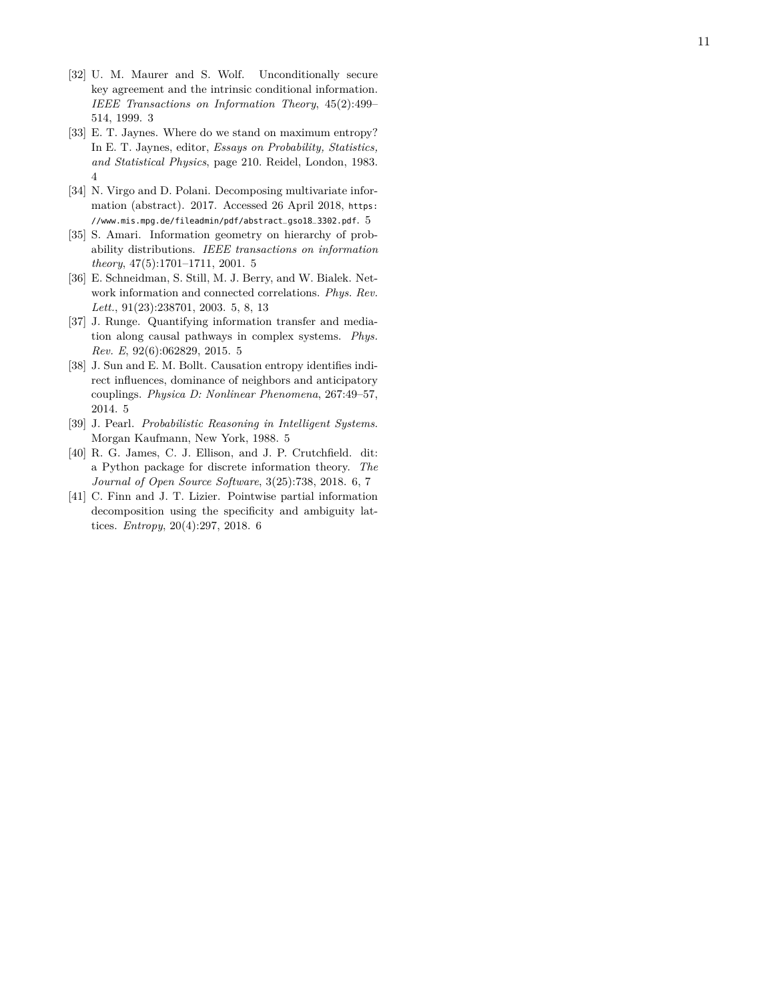- [32] U. M. Maurer and S. Wolf. Unconditionally secure key agreement and the intrinsic conditional information. *IEEE Transactions on Information Theory*, 45(2):499– 514, 1999. 3
- [33] E. T. Jaynes. Where do we stand on maximum entropy? In E. T. Jaynes, editor, *Essays on Probability, Statistics, and Statistical Physics*, page 210. Reidel, London, 1983. 4
- [34] N. Virgo and D. Polani. Decomposing multivariate information (abstract). 2017. Accessed 26 April 2018, https: //www.mis.mpg.de/fileadmin/pdf/abstract\_gso18\_3302.pdf.  $5\,$
- [35] S. Amari. Information geometry on hierarchy of probability distributions. *IEEE transactions on information theory*, 47(5):1701–1711, 2001. 5
- [36] E. Schneidman, S. Still, M. J. Berry, and W. Bialek. Network information and connected correlations. *Phys. Rev. Lett.*, 91(23):238701, 2003. 5, 8, 13
- [37] J. Runge. Quantifying information transfer and mediation along causal pathways in complex systems. *Phys. Rev. E*, 92(6):062829, 2015. 5
- [38] J. Sun and E. M. Bollt. Causation entropy identifies indirect influences, dominance of neighbors and anticipatory couplings. *Physica D: Nonlinear Phenomena*, 267:49–57, 2014. 5
- [39] J. Pearl. *Probabilistic Reasoning in Intelligent Systems* . Morgan Kaufmann, New York, 1988. 5
- [40] R. G. James, C. J. Ellison, and J. P. Crutchfield. dit: a Python package for discrete information theory. *The Journal of Open Source Software*, 3(25):738, 2018. 6, 7
- [41] C. Finn and J. T. Lizier. Pointwise partial information decomposition using the specificity and ambiguity lattices. *Entropy*, 20(4):297, 2018. 6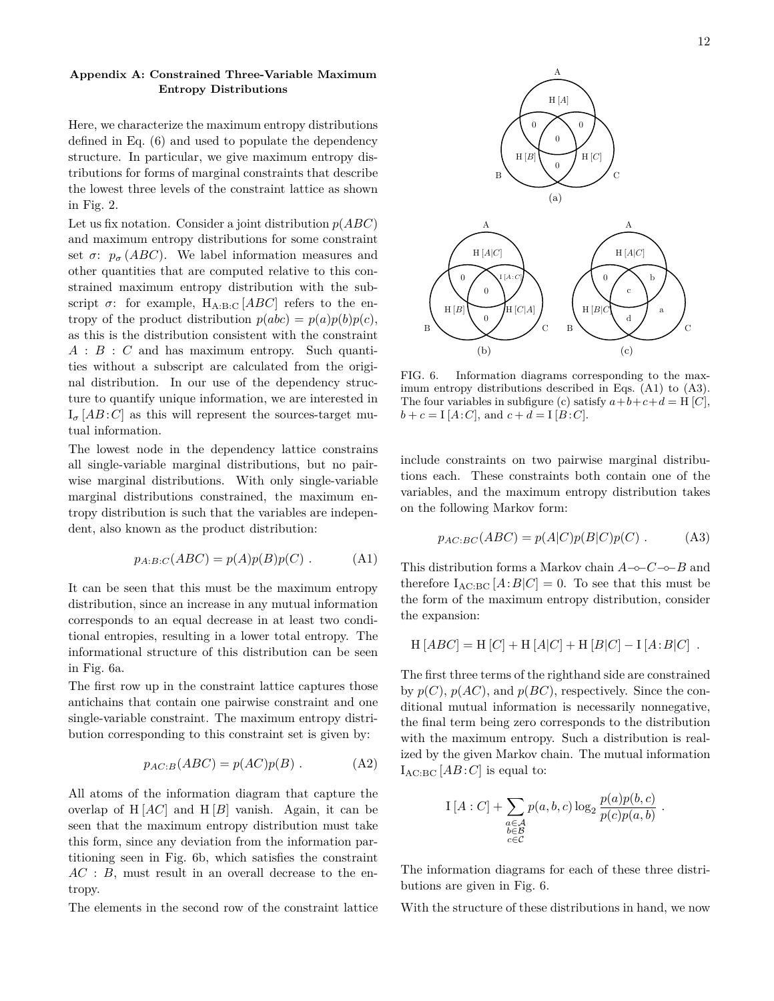# **Appendix A: Constrained Three-Variable Maximum Entropy Distributions**

Here, we characterize the maximum entropy distributions defined in Eq. (6) and used to populate the dependency structure. In particular, we give maximum entropy distributions for forms of marginal constraints that describe the lowest three levels of the constraint lattice as shown in Fig. 2.

Let us fix notation. Consider a joint distribution *p*(*ABC*) and maximum entropy distributions for some constraint set  $\sigma$ :  $p_{\sigma}$  (*ABC*). We label information measures and other quantities that are computed relative to this constrained maximum entropy distribution with the subscript  $\sigma$ : for example, H<sub>A:B:C</sub> [*ABC*] refers to the entropy of the product distribution  $p(abc) = p(a)p(b)p(c)$ , as this is the distribution consistent with the constraint *A* : *B* : *C* and has maximum entropy. Such quantities without a subscript are calculated from the original distribution. In our use of the dependency structure to quantify unique information, we are interested in  $I_{\sigma}$  [*AB* : *C*] as this will represent the sources-target mutual information.

The lowest node in the dependency lattice constrains all single-variable marginal distributions, but no pairwise marginal distributions. With only single-variable marginal distributions constrained, the maximum entropy distribution is such that the variables are independent, also known as the product distribution:

$$
p_{A:B:C}(ABC) = p(A)p(B)p(C) .
$$
 (A1)

It can be seen that this must be the maximum entropy distribution, since an increase in any mutual information corresponds to an equal decrease in at least two conditional entropies, resulting in a lower total entropy. The informational structure of this distribution can be seen in Fig. 6a.

The first row up in the constraint lattice captures those antichains that contain one pairwise constraint and one single-variable constraint. The maximum entropy distribution corresponding to this constraint set is given by:

$$
p_{AC:B}(ABC) = p(AC)p(B) .
$$
 (A2)

All atoms of the information diagram that capture the overlap of  $H[AC]$  and  $H[B]$  vanish. Again, it can be seen that the maximum entropy distribution must take this form, since any deviation from the information partitioning seen in Fig. 6b, which satisfies the constraint *AC* : *B*, must result in an overall decrease to the entropy.

The elements in the second row of the constraint lattice



FIG. 6. Information diagrams corresponding to the maximum entropy distributions described in Eqs. (A1) to (A3). The four variables in subfigure (c) satisfy  $a+b+c+d = H[C]$ ,  $b + c = I[A:C]$ , and  $c + d = I[B:C]$ .

include constraints on two pairwise marginal distributions each. These constraints both contain one of the variables, and the maximum entropy distribution takes on the following Markov form:

$$
p_{AC:BC}(ABC) = p(A|C)p(B|C)p(C) . \qquad (A3)
$$

This distribution forms a Markov chain *A*−◦−*C*−◦−*B* and therefore  $I_{\text{AC:BC}}[A:B|C] = 0$ . To see that this must be the form of the maximum entropy distribution, consider the expansion:

$$
H [ABC] = H [C] + H [A|C] + H [B|C] - I [A:B|C] .
$$

The first three terms of the righthand side are constrained by  $p(C)$ ,  $p(AC)$ , and  $p(BC)$ , respectively. Since the conditional mutual information is necessarily nonnegative, the final term being zero corresponds to the distribution with the maximum entropy. Such a distribution is realized by the given Markov chain. The mutual information  $I_{AC:BC}$  [*AB* : *C*] is equal to:

$$
\mathcal{I}[A:C] + \sum_{\substack{a \in \mathcal{A} \\ b \in \mathcal{B} \\ c \in \mathcal{C}}} p(a,b,c) \log_2 \frac{p(a)p(b,c)}{p(c)p(a,b)}.
$$

The information diagrams for each of these three distributions are given in Fig. 6.

With the structure of these distributions in hand, we now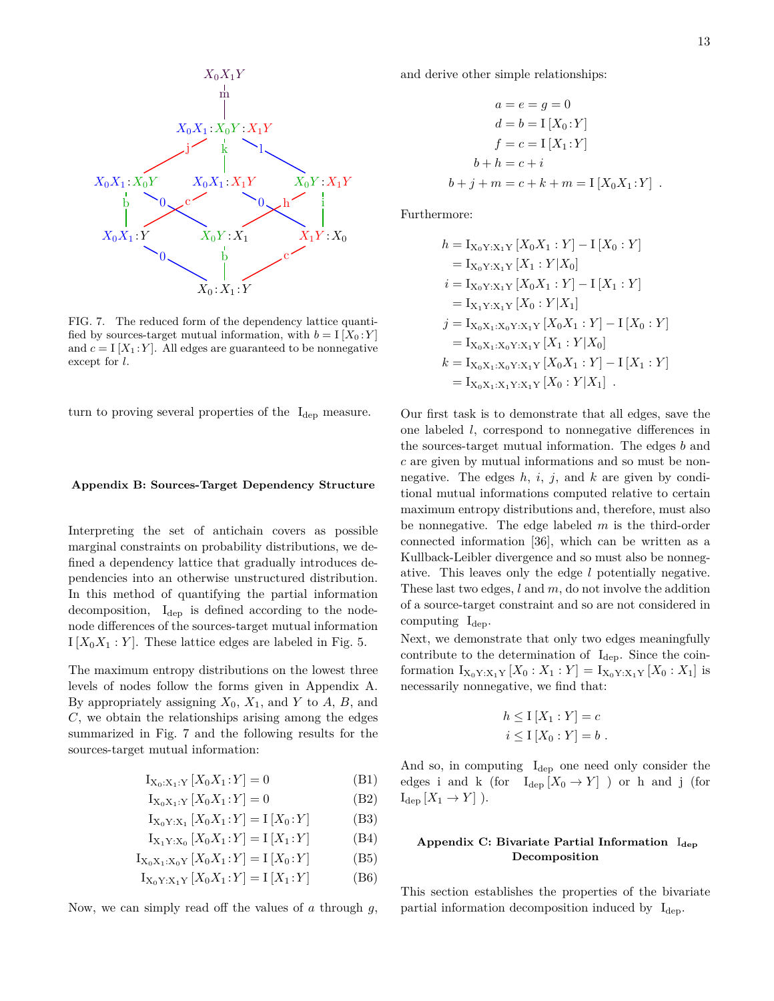

FIG. 7. The reduced form of the dependency lattice quantified by sources-target mutual information, with  $b = I[X_0:Y]$ and  $c = I[X_1 : Y]$ . All edges are guaranteed to be nonnegative except for *l*.

turn to proving several properties of the  $I_{dep}$  measure.

#### **Appendix B: Sources-Target Dependency Structure**

Interpreting the set of antichain covers as possible marginal constraints on probability distributions, we defined a dependency lattice that gradually introduces dependencies into an otherwise unstructured distribution. In this method of quantifying the partial information decomposition, Idep is defined according to the nodenode differences of the sources-target mutual information  $I[X_0X_1:Y]$ . These lattice edges are labeled in Fig. 5.

The maximum entropy distributions on the lowest three levels of nodes follow the forms given in Appendix A. By appropriately assigning  $X_0$ ,  $X_1$ , and  $Y$  to  $A$ ,  $B$ , and *C*, we obtain the relationships arising among the edges summarized in Fig. 7 and the following results for the sources-target mutual information:

$$
I_{X_0:X_1:Y}[X_0X_1:Y] = 0
$$
 (B1)

$$
I_{X_0X_1:Y}[X_0X_1:Y] = 0
$$
 (B2)

$$
I_{X_0Y:X_1}[X_0X_1:Y] = I[X_0:Y]
$$
 (B3)

$$
I_{X_1 Y : X_0} [X_0 X_1 : Y] = I [X_1 : Y]
$$
 (B4)

$$
I_{X_0X_1:X_0Y}[X_0X_1:Y] = I[X_0:Y]
$$
 (B5)

$$
I_{X_0Y:X_1Y}[X_0X_1:Y] = I[X_1:Y]
$$
 (B6)

Now, we can simply read off the values of *a* through *g*,

and derive other simple relationships:

$$
a = e = g = 0
$$
  
\n
$$
d = b = I [X_0 : Y]
$$
  
\n
$$
f = c = I [X_1 : Y]
$$
  
\n
$$
b + h = c + i
$$
  
\n
$$
b + j + m = c + k + m = I [X_0 X_1 : Y]
$$
.

Furthermore:

$$
h = I_{X_0Y:X_1Y} [X_0X_1 : Y] - I [X_0 : Y]
$$
  
\n
$$
= I_{X_0Y:X_1Y} [X_1 : Y | X_0]
$$
  
\n
$$
i = I_{X_0Y:X_1Y} [X_0X_1 : Y] - I [X_1 : Y]
$$
  
\n
$$
= I_{X_1Y:X_1Y} [X_0 : Y | X_1]
$$
  
\n
$$
j = I_{X_0X_1:X_0Y:X_1Y} [X_0X_1 : Y] - I [X_0 : Y]
$$
  
\n
$$
= I_{X_0X_1:X_0Y:X_1Y} [X_1 : Y | X_0]
$$
  
\n
$$
k = I_{X_0X_1:X_0Y:X_1Y} [X_0X_1 : Y] - I [X_1 : Y]
$$
  
\n
$$
= I_{X_0X_1:X_1Y:X_1Y} [X_0 : Y | X_1].
$$

Our first task is to demonstrate that all edges, save the one labeled *l*, correspond to nonnegative differences in the sources-target mutual information. The edges *b* and *c* are given by mutual informations and so must be nonnegative. The edges *h*, *i*, *j*, and *k* are given by conditional mutual informations computed relative to certain maximum entropy distributions and, therefore, must also be nonnegative. The edge labeled *m* is the third-order connected information [36], which can be written as a Kullback-Leibler divergence and so must also be nonnegative. This leaves only the edge *l* potentially negative. These last two edges, *l* and *m*, do not involve the addition of a source-target constraint and so are not considered in computing  $I_{dep}$ .

Next, we demonstrate that only two edges meaningfully contribute to the determination of  $I_{\text{dep}}$ . Since the coinformation  $I_{X_0Y:X_1Y}[X_0:X_1:Y] = I_{X_0Y:X_1Y}[X_0:X_1]$  is necessarily nonnegative, we find that:

$$
h \leq I [X_1 : Y] = c
$$
  

$$
i \leq I [X_0 : Y] = b.
$$

And so, in computing  $I_{\text{dep}}$  one need only consider the edges i and k (for  $I_{dep} [X_0 \rightarrow Y]$ ) or h and j (for  $I_{\text{dep}}[X_1 \rightarrow Y]$ ).

## **Appendix C: Bivariate Partial Information** I**dep Decomposition**

This section establishes the properties of the bivariate partial information decomposition induced by  $I_{\text{dep}}$ .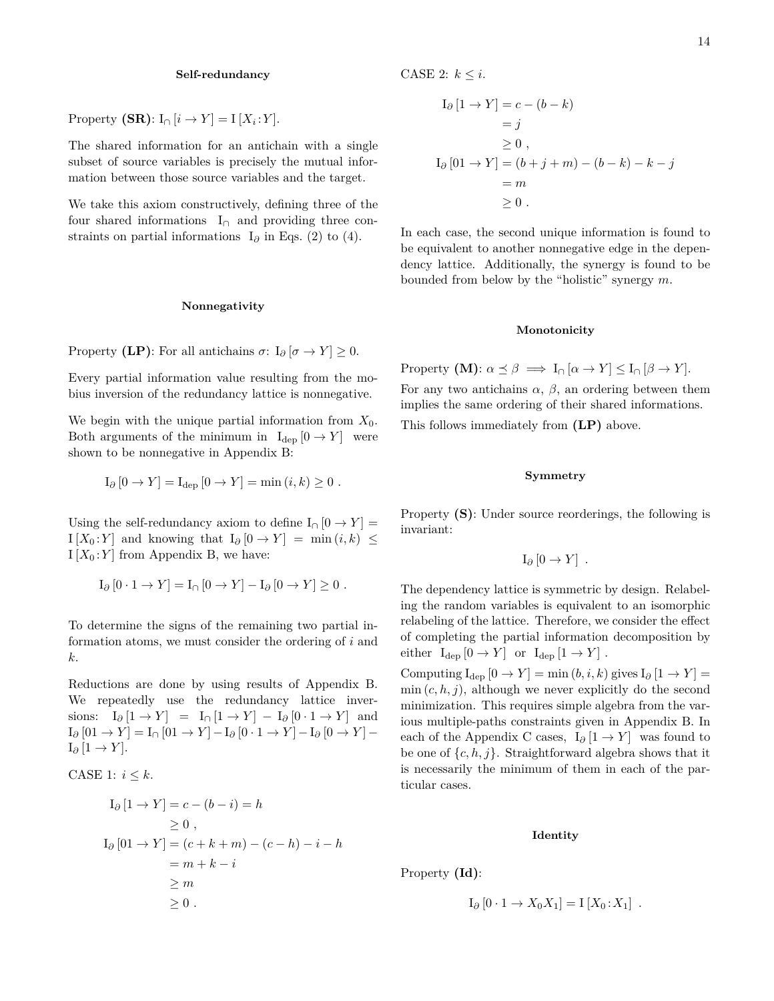## **Self-redundancy**

Property  $(SR)$ : I<sub>∩</sub> [*i*  $\rightarrow$  *Y*] = I [*X<sub>i</sub>*: *Y*].

The shared information for an antichain with a single subset of source variables is precisely the mutual information between those source variables and the target.

We take this axiom constructively, defining three of the four shared informations  $I_{\cap}$  and providing three constraints on partial informations I<sub>∂</sub> in Eqs. (2) to (4).

### **Nonnegativity**

Property **(LP)**: For all antichains  $\sigma$ : I<sub> $\partial$ </sub> [ $\sigma \rightarrow Y$ ] ≥ 0.

Every partial information value resulting from the mobius inversion of the redundancy lattice is nonnegative.

We begin with the unique partial information from  $X_0$ . Both arguments of the minimum in  $I_{dep} [0 \rightarrow Y]$  were shown to be nonnegative in Appendix B:

$$
I_{\partial} [0 \to Y] = I_{\text{dep}} [0 \to Y] = \min(i, k) \ge 0.
$$

Using the self-redundancy axiom to define  $I_{\cap}$  [0  $\rightarrow$  *Y*] =  $I[X_0:Y]$  and knowing that  $I_{\partial}[0 \to Y] = \min(i,k) \leq$  $I[X_0:Y]$  from Appendix B, we have:

$$
I_{\partial} [0 \cdot 1 \to Y] = I_{\cap} [0 \to Y] - I_{\partial} [0 \to Y] \ge 0.
$$

To determine the signs of the remaining two partial information atoms, we must consider the ordering of *i* and *k*.

Reductions are done by using results of Appendix B. We repeatedly use the redundancy lattice inversions:  $I_{\partial} [1 \rightarrow Y] = I_{\cap} [1 \rightarrow Y] - I_{\partial} [0 \cdot 1 \rightarrow Y]$  and  $I_{\partial}$  [01 → *Y*] =  $I_{\cap}$  [01 → *Y*] -  $I_{\partial}$  [0 · 1 → *Y*] -  $I_{\partial}$  [0 → *Y*] - $I_{\partial}$  [1 → *Y*].

CASE 1: 
$$
i \leq k
$$
.

$$
I_{\partial} [1 \rightarrow Y] = c - (b - i) = h
$$
  
\n
$$
\geq 0 ,
$$
  
\n
$$
I_{\partial} [01 \rightarrow Y] = (c + k + m) - (c - h) - i - h
$$
  
\n
$$
= m + k - i
$$
  
\n
$$
\geq m
$$
  
\n
$$
\geq 0 .
$$

CASE 2:  $k \leq i$ .

$$
I_{\partial} [1 \rightarrow Y] = c - (b - k)
$$
  
= j  

$$
\geq 0,
$$
  

$$
I_{\partial} [01 \rightarrow Y] = (b + j + m) - (b - k) - k - j
$$
  
= m  

$$
\geq 0.
$$

In each case, the second unique information is found to be equivalent to another nonnegative edge in the dependency lattice. Additionally, the synergy is found to be bounded from below by the "holistic" synergy *m*.

#### **Monotonicity**

Property  $(M): \alpha \preceq \beta \implies I_{\cap}[\alpha \to Y] \leq I_{\cap}[\beta \to Y].$ 

For any two antichains  $\alpha$ ,  $\beta$ , an ordering between them implies the same ordering of their shared informations. This follows immediately from **(LP)** above.

### **Symmetry**

Property **(S)**: Under source reorderings, the following is invariant:

$$
I_{\partial} [0 \to Y] .
$$

The dependency lattice is symmetric by design. Relabeling the random variables is equivalent to an isomorphic relabeling of the lattice. Therefore, we consider the effect of completing the partial information decomposition by either  $I_{\text{dep}}[0 \rightarrow Y]$  or  $I_{\text{dep}}[1 \rightarrow Y]$ .

Computing  $I_{\text{dep}}[0 \to Y] = \min(b, i, k)$  gives  $I_{\partial}[1 \to Y] =$  $\min(c, h, j)$ , although we never explicitly do the second minimization. This requires simple algebra from the various multiple-paths constraints given in Appendix B. In each of the Appendix C cases,  $I_{\partial}$  [1  $\rightarrow$  *Y*] was found to be one of  $\{c, h, j\}$ . Straightforward algebra shows that it is necessarily the minimum of them in each of the particular cases.

## **Identity**

Property **(Id)**:

$$
I_{\partial} [0 \cdot 1 \to X_0 X_1] = I [X_0 : X_1] .
$$